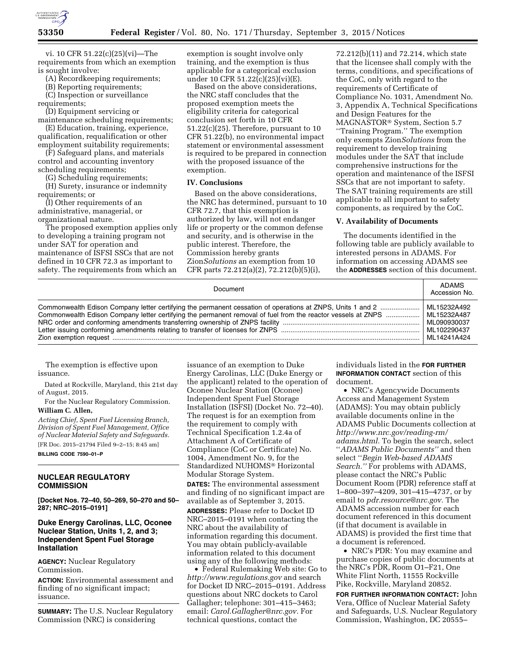

vi. 10 CFR 51.22(c)(25)(vi)—The requirements from which an exemption is sought involve:

(A) Recordkeeping requirements;

(B) Reporting requirements;

(C) Inspection or surveillance

requirements;

(D) Equipment servicing or

maintenance scheduling requirements; (E) Education, training, experience, qualification, requalification or other

employment suitability requirements; (F) Safeguard plans, and materials

control and accounting inventory scheduling requirements;

(G) Scheduling requirements;

(H) Surety, insurance or indemnity requirements; or

(I) Other requirements of an administrative, managerial, or organizational nature.

The proposed exemption applies only to developing a training program not under SAT for operation and maintenance of ISFSI SSCs that are not defined in 10 CFR 72.3 as important to safety. The requirements from which an

exemption is sought involve only training, and the exemption is thus applicable for a categorical exclusion under 10 CFR 51.22(c)(25)(vi)(E).

Based on the above considerations, the NRC staff concludes that the proposed exemption meets the eligibility criteria for categorical conclusion set forth in 10 CFR 51.22(c)(25). Therefore, pursuant to 10 CFR 51.22(b), no environmental impact statement or environmental assessment is required to be prepared in connection with the proposed issuance of the exemption.

## **IV. Conclusions**

Based on the above considerations, the NRC has determined, pursuant to 10 CFR 72.7, that this exemption is authorized by law, will not endanger life or property or the common defense and security, and is otherwise in the public interest. Therefore, the Commission hereby grants Zion*Solutions* an exemption from 10 CFR parts 72.212(a)(2), 72.212(b)(5)(i),

72.212(b)(11) and 72.214, which state that the licensee shall comply with the terms, conditions, and specifications of the CoC, only with regard to the requirements of Certificate of Compliance No. 1031, Amendment No. 3, Appendix A, Technical Specifications and Design Features for the MAGNASTOR® System, Section 5.7 ''Training Program.'' The exemption only exempts Zion*Solutions* from the requirement to develop training modules under the SAT that include comprehensive instructions for the operation and maintenance of the ISFSI SSCs that are not important to safety. The SAT training requirements are still applicable to all important to safety components, as required by the CoC.

# **V. Availability of Documents**

The documents identified in the following table are publicly available to interested persons in ADAMS. For information on accessing ADAMS see the **ADDRESSES** section of this document.

| Document                                                                                                     | <b>ADAMS</b><br>Accession No. |
|--------------------------------------------------------------------------------------------------------------|-------------------------------|
|                                                                                                              | ML15232A492                   |
| Commonwealth Edison Company letter certifying the permanent removal of fuel from the reactor vessels at ZNPS | ML15232A487                   |
|                                                                                                              | ML090930037                   |
|                                                                                                              | ML102290437                   |
|                                                                                                              | MI 14241A424                  |

The exemption is effective upon issuance.

Dated at Rockville, Maryland, this 21st day of August, 2015.

For the Nuclear Regulatory Commission. **William C. Allen,** 

*Acting Chief, Spent Fuel Licensing Branch, Division of Spent Fuel Management, Office of Nuclear Material Safety and Safeguards.*  [FR Doc. 2015–21794 Filed 9–2–15; 8:45 am]

**BILLING CODE 7590–01–P** 

## **NUCLEAR REGULATORY COMMISSION**

**[Docket Nos. 72–40, 50–269, 50–270 and 50– 287; NRC–2015–0191]** 

# **Duke Energy Carolinas, LLC, Oconee Nuclear Station, Units 1, 2, and 3; Independent Spent Fuel Storage Installation**

**AGENCY:** Nuclear Regulatory Commission.

**ACTION:** Environmental assessment and finding of no significant impact; issuance.

**SUMMARY:** The U.S. Nuclear Regulatory Commission (NRC) is considering

issuance of an exemption to Duke Energy Carolinas, LLC (Duke Energy or the applicant) related to the operation of Oconee Nuclear Station (Oconee) Independent Spent Fuel Storage Installation (ISFSI) (Docket No. 72–40). The request is for an exemption from the requirement to comply with Technical Specification 1.2.4a of Attachment A of Certificate of Compliance (CoC or Certificate) No. 1004, Amendment No. 9, for the Standardized NUHOMS® Horizontal Modular Storage System.

**DATES:** The environmental assessment and finding of no significant impact are available as of September 3, 2015.

**ADDRESSES:** Please refer to Docket ID NRC–2015–0191 when contacting the NRC about the availability of information regarding this document. You may obtain publicly-available information related to this document using any of the following methods:

• Federal Rulemaking Web site: Go to *<http://www.regulations.gov>* and search for Docket ID NRC–2015–0191. Address questions about NRC dockets to Carol Gallagher; telephone: 301–415–3463; email: *[Carol.Gallagher@nrc.gov.](mailto:Carol.Gallagher@nrc.gov)* For technical questions, contact the

individuals listed in the **FOR FURTHER INFORMATION CONTACT** section of this document.

• NRC's Agencywide Documents Access and Management System (ADAMS): You may obtain publicly available documents online in the ADAMS Public Documents collection at *[http://www.nrc.gov/reading-rm/](http://www.nrc.gov/reading-rm/adams.html) [adams.html.](http://www.nrc.gov/reading-rm/adams.html)* To begin the search, select ''*ADAMS Public Documents''* and then select ''*Begin Web-based ADAMS Search.''* For problems with ADAMS, please contact the NRC's Public Document Room (PDR) reference staff at 1–800–397–4209, 301–415–4737, or by email to *[pdr.resource@nrc.gov.](mailto:pdr.resource@nrc.gov)* The ADAMS accession number for each document referenced in this document (if that document is available in ADAMS) is provided the first time that a document is referenced.

• NRC's PDR: You may examine and purchase copies of public documents at the NRC's PDR, Room O1–F21, One White Flint North, 11555 Rockville Pike, Rockville, Maryland 20852.

**FOR FURTHER INFORMATION CONTACT:** John Vera, Office of Nuclear Material Safety and Safeguards, U.S. Nuclear Regulatory Commission, Washington, DC 20555–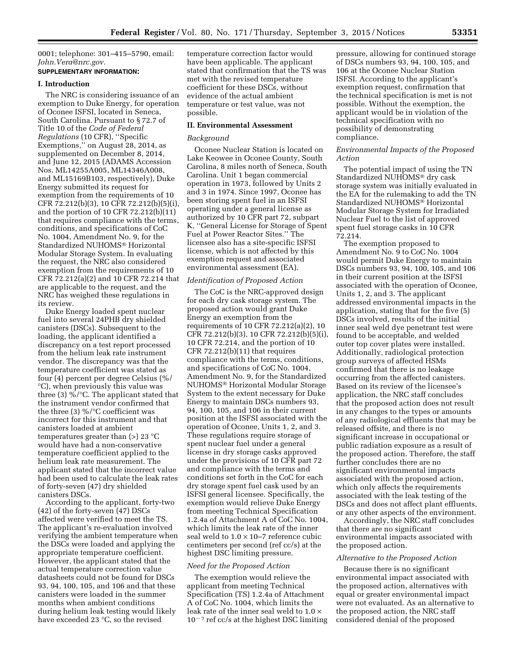0001; telephone: 301–415–5790, email: *[John.Vera@nrc.gov.](mailto:John.Vera@nrc.gov)* 

# **SUPPLEMENTARY INFORMATION:**

## **I. Introduction**

The NRC is considering issuance of an exemption to Duke Energy, for operation of Oconee ISFSI, located in Seneca, South Carolina. Pursuant to § 72.7 of Title 10 of the *Code of Federal Regulations* (10 CFR), ''Specific Exemptions,'' on August 28, 2014, as supplemented on December 8, 2014, and June 12, 2015 (ADAMS Accession Nos. ML14255A005, ML14346A008, and ML15169B103, respectively), Duke Energy submitted its request for exemption from the requirements of 10 CFR 72.212(b)(3), 10 CFR 72.212(b)(5)(i), and the portion of 10 CFR 72.212(b)(11) that requires compliance with the terms, conditions, and specifications of CoC No. 1004, Amendment No. 9, for the Standardized NUHOMS® Horizontal Modular Storage System. In evaluating the request, the NRC also considered exemption from the requirements of 10 CFR 72.212(a)(2) and 10 CFR 72.214 that are applicable to the request, and the NRC has weighed these regulations in its review.

Duke Energy loaded spent nuclear fuel into several 24PHB dry shielded canisters (DSCs). Subsequent to the loading, the applicant identified a discrepancy on a test report processed from the helium leak rate instrument vendor. The discrepancy was that the temperature coefficient was stated as four (4) percent per degree Celsius (%/ °C), when previously this value was three (3) %/°C. The applicant stated that the instrument vendor confirmed that the three (3) %/ $\degree$ C coefficient was incorrect for this instrument and that canisters loaded at ambient temperatures greater than (>) 23 °C would have had a non-conservative temperature coefficient applied to the helium leak rate measurement. The applicant stated that the incorrect value had been used to calculate the leak rates of forty-seven (47) dry shielded canisters DSCs.

According to the applicant, forty-two (42) of the forty-seven (47) DSCs affected were verified to meet the TS. The applicant's re-evaluation involved verifying the ambient temperature when the DSCs were loaded and applying the appropriate temperature coefficient. However, the applicant stated that the actual temperature correction value datasheets could not be found for DSCs 93, 94, 100, 105, and 106 and that these canisters were loaded in the summer months when ambient conditions during helium leak testing would likely have exceeded 23 °C, so the revised

temperature correction factor would have been applicable. The applicant stated that confirmation that the TS was met with the revised temperature coefficient for these DSCs, without evidence of the actual ambient temperature or test value, was not possible.

#### **II. Environmental Assessment**

#### *Background*

Oconee Nuclear Station is located on Lake Keowee in Oconee County, South Carolina, 8 miles north of Seneca, South Carolina. Unit 1 began commercial operation in 1973, followed by Units 2 and 3 in 1974. Since 1997, Oconee has been storing spent fuel in an ISFSI operating under a general license as authorized by 10 CFR part 72, subpart K, ''General License for Storage of Spent Fuel at Power Reactor Sites.'' The licensee also has a site-specific ISFSI license, which is not affected by this exemption request and associated environmental assessment (EA).

#### *Identification of Proposed Action*

The CoC is the NRC-approved design for each dry cask storage system. The proposed action would grant Duke Energy an exemption from the requirements of 10 CFR 72.212(a)(2), 10 CFR 72.212(b)(3), 10 CFR 72.212(b)(5)(i), 10 CFR 72.214, and the portion of 10 CFR 72.212(b)(11) that requires compliance with the terms, conditions, and specifications of CoC No. 1004, Amendment No. 9, for the Standardized NUHOMS® Horizontal Modular Storage System to the extent necessary for Duke Energy to maintain DSCs numbers 93, 94, 100, 105, and 106 in their current position at the ISFSI associated with the operation of Oconee, Units 1, 2, and 3. These regulations require storage of spent nuclear fuel under a general license in dry storage casks approved under the provisions of 10 CFR part 72 and compliance with the terms and conditions set forth in the CoC for each dry storage spent fuel cask used by an ISFSI general licensee. Specifically, the exemption would relieve Duke Energy from meeting Technical Specification 1.2.4a of Attachment A of CoC No. 1004, which limits the leak rate of the inner seal weld to  $1.0 \times 10 - 7$  reference cubic centimeters per second (ref cc/s) at the highest DSC limiting pressure.

#### *Need for the Proposed Action*

The exemption would relieve the applicant from meeting Technical Specification (TS) 1.2.4a of Attachment A of CoC No. 1004, which limits the leak rate of the inner seal weld to 1.0 ×  $10^{-7}$  ref cc/s at the highest DSC limiting

pressure, allowing for continued storage of DSCs numbers 93, 94, 100, 105, and 106 at the Oconee Nuclear Station ISFSI. According to the applicant's exemption request, confirmation that the technical specification is met is not possible. Without the exemption, the applicant would be in violation of the technical specification with no possibility of demonstrating compliance.

#### *Environmental Impacts of the Proposed Action*

The potential impact of using the TN Standardized NUHOMS® dry cask storage system was initially evaluated in the EA for the rulemaking to add the TN Standardized NUHOMS® Horizontal Modular Storage System for Irradiated Nuclear Fuel to the list of approved spent fuel storage casks in 10 CFR 72.214.

The exemption proposed to Amendment No. 9 to CoC No. 1004 would permit Duke Energy to maintain DSCs numbers 93, 94, 100, 105, and 106 in their current position at the ISFSI associated with the operation of Oconee, Units 1, 2, and 3. The applicant addressed environmental impacts in the application, stating that for the five (5) DSCs involved, results of the initial inner seal weld dye penetrant test were found to be acceptable, and welded outer top cover plates were installed. Additionally, radiological protection group surveys of affected HSMs confirmed that there is no leakage occurring from the affected canisters. Based on its review of the licensee's application, the NRC staff concludes that the proposed action does not result in any changes to the types or amounts of any radiological effluents that may be released offsite, and there is no significant increase in occupational or public radiation exposure as a result of the proposed action. Therefore, the staff further concludes there are no significant environmental impacts associated with the proposed action, which only affects the requirements associated with the leak testing of the DSCs and does not affect plant effluents, or any other aspects of the environment.

Accordingly, the NRC staff concludes that there are no significant environmental impacts associated with the proposed action.

#### *Alternative to the Proposed Action*

Because there is no significant environmental impact associated with the proposed action, alternatives with equal or greater environmental impact were not evaluated. As an alternative to the proposed action, the NRC staff considered denial of the proposed